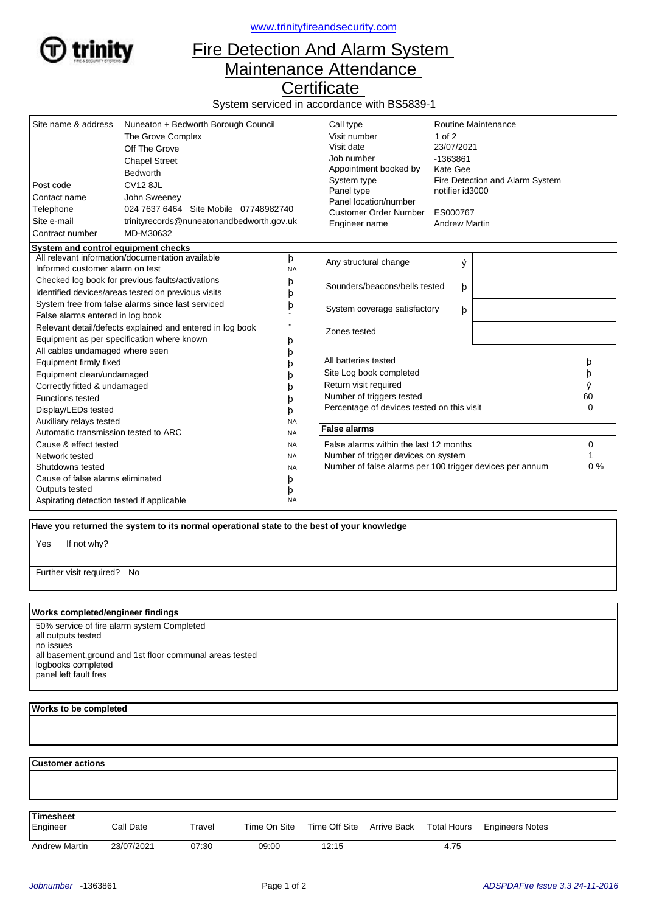

<www.trinityfireandsecurity.com>

## Fire Detection And Alarm System Maintenance Attendance

**Certificate** 

System serviced in accordance with BS5839-1

| Site name & address<br>Post code<br>Contact name<br>Telephone<br>Site e-mail<br>Contract number | Nuneaton + Bedworth Borough Council<br>The Grove Complex<br>Off The Grove<br><b>Chapel Street</b><br><b>Bedworth</b><br><b>CV12 8JL</b><br>John Sweeney<br>024 7637 6464 Site Mobile 07748982740<br>trinityrecords@nuneatonandbedworth.gov.uk<br>MD-M30632 |                                                          | Call type<br>Visit number<br>Visit date<br>Job number<br>Appointment booked by<br>System type<br>Panel type<br>Panel location/number<br><b>Customer Order Number</b><br>Engineer name | Routine Maintenance<br>$1$ of $2$<br>23/07/2021<br>-1363861<br>Kate Gee<br>Fire Detection and Alarm System<br>notifier id3000<br>ES000767<br><b>Andrew Martin</b> |          |  |
|-------------------------------------------------------------------------------------------------|------------------------------------------------------------------------------------------------------------------------------------------------------------------------------------------------------------------------------------------------------------|----------------------------------------------------------|---------------------------------------------------------------------------------------------------------------------------------------------------------------------------------------|-------------------------------------------------------------------------------------------------------------------------------------------------------------------|----------|--|
| System and control equipment checks<br>All relevant information/documentation available<br>þ    |                                                                                                                                                                                                                                                            |                                                          |                                                                                                                                                                                       |                                                                                                                                                                   |          |  |
| Informed customer alarm on test                                                                 |                                                                                                                                                                                                                                                            | <b>NA</b>                                                | Any structural change                                                                                                                                                                 | ý                                                                                                                                                                 |          |  |
| Checked log book for previous faults/activations                                                |                                                                                                                                                                                                                                                            | þ                                                        | Sounders/beacons/bells tested                                                                                                                                                         |                                                                                                                                                                   |          |  |
| Identified devices/areas tested on previous visits                                              |                                                                                                                                                                                                                                                            | þ                                                        |                                                                                                                                                                                       | þ                                                                                                                                                                 |          |  |
| System free from false alarms since last serviced                                               |                                                                                                                                                                                                                                                            | þ                                                        | System coverage satisfactory<br>þ                                                                                                                                                     |                                                                                                                                                                   |          |  |
| False alarms entered in log book                                                                |                                                                                                                                                                                                                                                            |                                                          |                                                                                                                                                                                       |                                                                                                                                                                   |          |  |
| Relevant detail/defects explained and entered in log book                                       |                                                                                                                                                                                                                                                            |                                                          | Zones tested                                                                                                                                                                          |                                                                                                                                                                   |          |  |
| Equipment as per specification where known                                                      |                                                                                                                                                                                                                                                            | þ                                                        |                                                                                                                                                                                       |                                                                                                                                                                   |          |  |
| All cables undamaged where seen                                                                 |                                                                                                                                                                                                                                                            | þ                                                        |                                                                                                                                                                                       |                                                                                                                                                                   |          |  |
| Equipment firmly fixed                                                                          |                                                                                                                                                                                                                                                            | b                                                        | All batteries tested                                                                                                                                                                  |                                                                                                                                                                   | þ        |  |
| Equipment clean/undamaged                                                                       |                                                                                                                                                                                                                                                            |                                                          | Site Log book completed                                                                                                                                                               |                                                                                                                                                                   | þ        |  |
| Correctly fitted & undamaged                                                                    |                                                                                                                                                                                                                                                            |                                                          | Return visit required                                                                                                                                                                 |                                                                                                                                                                   |          |  |
| <b>Functions tested</b>                                                                         |                                                                                                                                                                                                                                                            | n                                                        | Number of triggers tested                                                                                                                                                             |                                                                                                                                                                   | 60       |  |
| Display/LEDs tested                                                                             |                                                                                                                                                                                                                                                            | b                                                        | Percentage of devices tested on this visit                                                                                                                                            |                                                                                                                                                                   | $\Omega$ |  |
| Auxiliary relays tested<br><b>NA</b>                                                            |                                                                                                                                                                                                                                                            |                                                          |                                                                                                                                                                                       |                                                                                                                                                                   |          |  |
| Automatic transmission tested to ARC<br><b>NA</b>                                               |                                                                                                                                                                                                                                                            | <b>False alarms</b>                                      |                                                                                                                                                                                       |                                                                                                                                                                   |          |  |
| Cause & effect tested<br><b>NA</b>                                                              |                                                                                                                                                                                                                                                            |                                                          | False alarms within the last 12 months                                                                                                                                                |                                                                                                                                                                   | 0        |  |
| Network tested<br><b>NA</b>                                                                     |                                                                                                                                                                                                                                                            |                                                          | Number of trigger devices on system                                                                                                                                                   |                                                                                                                                                                   |          |  |
| Shutdowns tested<br><b>NA</b>                                                                   |                                                                                                                                                                                                                                                            | Number of false alarms per 100 trigger devices per annum |                                                                                                                                                                                       | 0%                                                                                                                                                                |          |  |
| Cause of false alarms eliminated<br>þ                                                           |                                                                                                                                                                                                                                                            |                                                          |                                                                                                                                                                                       |                                                                                                                                                                   |          |  |
| Outputs tested<br>þ                                                                             |                                                                                                                                                                                                                                                            |                                                          |                                                                                                                                                                                       |                                                                                                                                                                   |          |  |
| <b>NA</b><br>Aspirating detection tested if applicable                                          |                                                                                                                                                                                                                                                            |                                                          |                                                                                                                                                                                       |                                                                                                                                                                   |          |  |

 **Have you returned the system to its normal operational state to the best of your knowledge**

If not why? Yes

Further visit required? No

## **Works completed/engineer findings**

50% service of fire alarm system Completed all outputs tested no issues all basement,ground and 1st floor communal areas tested logbooks completed panel left fault fres

## **Works to be completed**

  **Customer actions** Engineer Call Date Travel Time On Site Time Off Site Arrive Back Total Hours Engineers Notes **Timesheet** Arrive Back Andrew Martin 23/07/2021 07:30 09:00 12:15 4.75